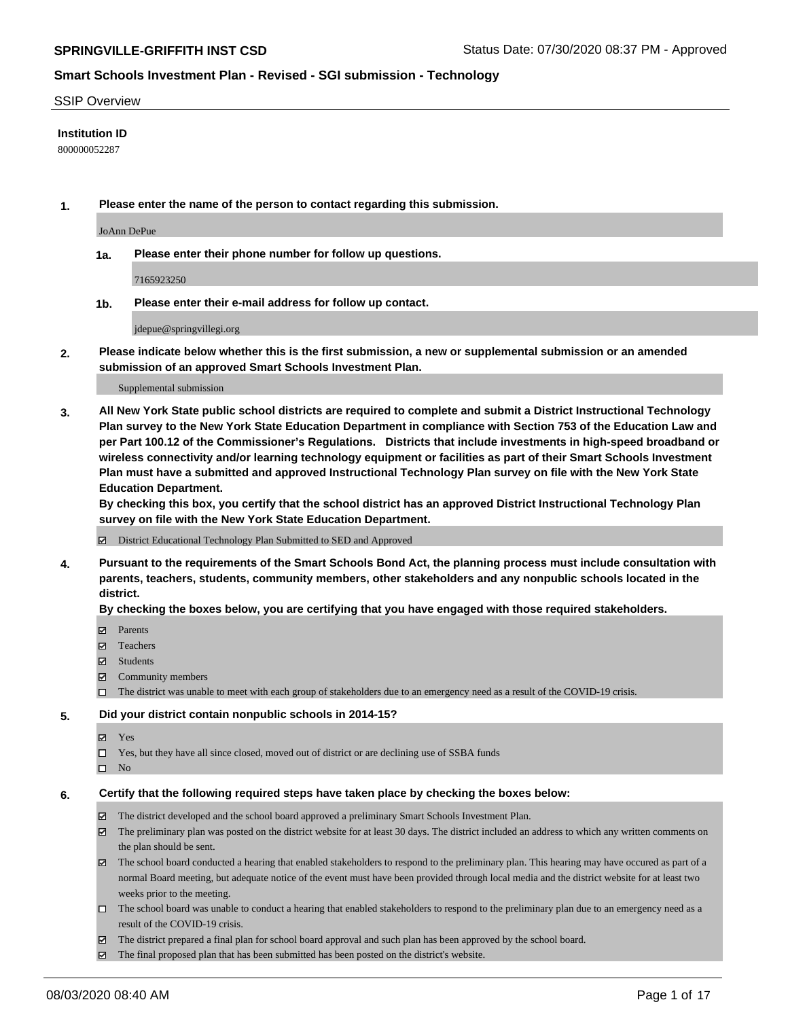### SSIP Overview

### **Institution ID**

800000052287

**1. Please enter the name of the person to contact regarding this submission.**

JoAnn DePue

**1a. Please enter their phone number for follow up questions.**

7165923250

**1b. Please enter their e-mail address for follow up contact.**

jdepue@springvillegi.org

**2. Please indicate below whether this is the first submission, a new or supplemental submission or an amended submission of an approved Smart Schools Investment Plan.**

#### Supplemental submission

**3. All New York State public school districts are required to complete and submit a District Instructional Technology Plan survey to the New York State Education Department in compliance with Section 753 of the Education Law and per Part 100.12 of the Commissioner's Regulations. Districts that include investments in high-speed broadband or wireless connectivity and/or learning technology equipment or facilities as part of their Smart Schools Investment Plan must have a submitted and approved Instructional Technology Plan survey on file with the New York State Education Department.** 

**By checking this box, you certify that the school district has an approved District Instructional Technology Plan survey on file with the New York State Education Department.**

District Educational Technology Plan Submitted to SED and Approved

**4. Pursuant to the requirements of the Smart Schools Bond Act, the planning process must include consultation with parents, teachers, students, community members, other stakeholders and any nonpublic schools located in the district.** 

### **By checking the boxes below, you are certifying that you have engaged with those required stakeholders.**

- **□** Parents
- Teachers
- Students
- $\boxtimes$  Community members
- The district was unable to meet with each group of stakeholders due to an emergency need as a result of the COVID-19 crisis.

### **5. Did your district contain nonpublic schools in 2014-15?**

- **冈** Yes
- Yes, but they have all since closed, moved out of district or are declining use of SSBA funds
- $\square$  No

### **6. Certify that the following required steps have taken place by checking the boxes below:**

- The district developed and the school board approved a preliminary Smart Schools Investment Plan.
- $\boxtimes$  The preliminary plan was posted on the district website for at least 30 days. The district included an address to which any written comments on the plan should be sent.
- The school board conducted a hearing that enabled stakeholders to respond to the preliminary plan. This hearing may have occured as part of a normal Board meeting, but adequate notice of the event must have been provided through local media and the district website for at least two weeks prior to the meeting.
- The school board was unable to conduct a hearing that enabled stakeholders to respond to the preliminary plan due to an emergency need as a result of the COVID-19 crisis.
- The district prepared a final plan for school board approval and such plan has been approved by the school board.
- $\boxtimes$  The final proposed plan that has been submitted has been posted on the district's website.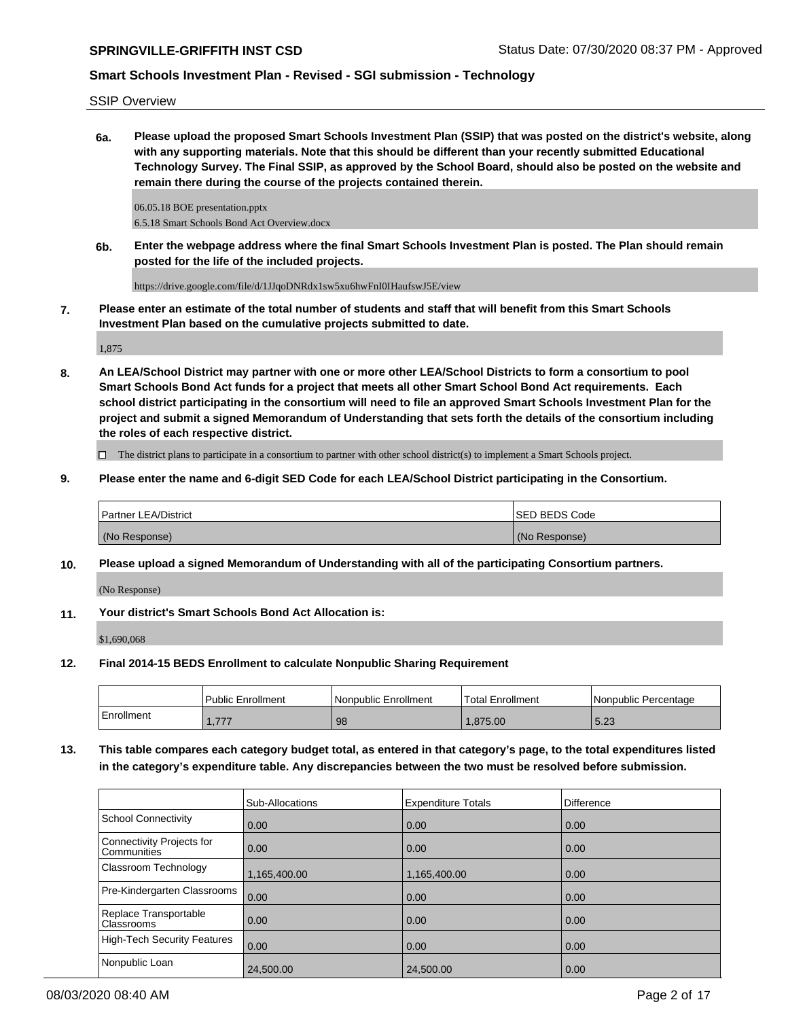SSIP Overview

**6a. Please upload the proposed Smart Schools Investment Plan (SSIP) that was posted on the district's website, along with any supporting materials. Note that this should be different than your recently submitted Educational Technology Survey. The Final SSIP, as approved by the School Board, should also be posted on the website and remain there during the course of the projects contained therein.**

06.05.18 BOE presentation.pptx 6.5.18 Smart Schools Bond Act Overview.docx

**6b. Enter the webpage address where the final Smart Schools Investment Plan is posted. The Plan should remain posted for the life of the included projects.**

https://drive.google.com/file/d/1JJqoDNRdx1sw5xu6hwFnI0IHaufswJ5E/view

**7. Please enter an estimate of the total number of students and staff that will benefit from this Smart Schools Investment Plan based on the cumulative projects submitted to date.**

1,875

**8. An LEA/School District may partner with one or more other LEA/School Districts to form a consortium to pool Smart Schools Bond Act funds for a project that meets all other Smart School Bond Act requirements. Each school district participating in the consortium will need to file an approved Smart Schools Investment Plan for the project and submit a signed Memorandum of Understanding that sets forth the details of the consortium including the roles of each respective district.**

 $\Box$  The district plans to participate in a consortium to partner with other school district(s) to implement a Smart Schools project.

**9. Please enter the name and 6-digit SED Code for each LEA/School District participating in the Consortium.**

| <b>Partner LEA/District</b> | <b>ISED BEDS Code</b> |
|-----------------------------|-----------------------|
| (No Response)               | (No Response)         |

**10. Please upload a signed Memorandum of Understanding with all of the participating Consortium partners.**

(No Response)

**11. Your district's Smart Schools Bond Act Allocation is:**

\$1,690,068

**12. Final 2014-15 BEDS Enrollment to calculate Nonpublic Sharing Requirement**

|            | <b>Public Enrollment</b> | Nonpublic Enrollment | 'Total Enrollment | l Nonpublic Percentage |
|------------|--------------------------|----------------------|-------------------|------------------------|
| Enrollment | 777<br>. <i>.</i>        | 98                   | .875.00           | 5.23                   |

**13. This table compares each category budget total, as entered in that category's page, to the total expenditures listed in the category's expenditure table. Any discrepancies between the two must be resolved before submission.**

|                                                 | <b>Sub-Allocations</b> | <b>Expenditure Totals</b> | Difference |
|-------------------------------------------------|------------------------|---------------------------|------------|
| School Connectivity                             | 0.00                   | 0.00                      | 0.00       |
| Connectivity Projects for<br><b>Communities</b> | 0.00                   | 0.00                      | 0.00       |
| Classroom Technology                            | 1,165,400.00           | 1,165,400.00              | 0.00       |
| Pre-Kindergarten Classrooms                     | 0.00                   | 0.00                      | 0.00       |
| Replace Transportable<br><b>Classrooms</b>      | $\overline{0.00}$      | 0.00                      | 0.00       |
| High-Tech Security Features                     | 0.00                   | 0.00                      | 0.00       |
| Nonpublic Loan                                  | 24,500.00              | 24,500.00                 | 0.00       |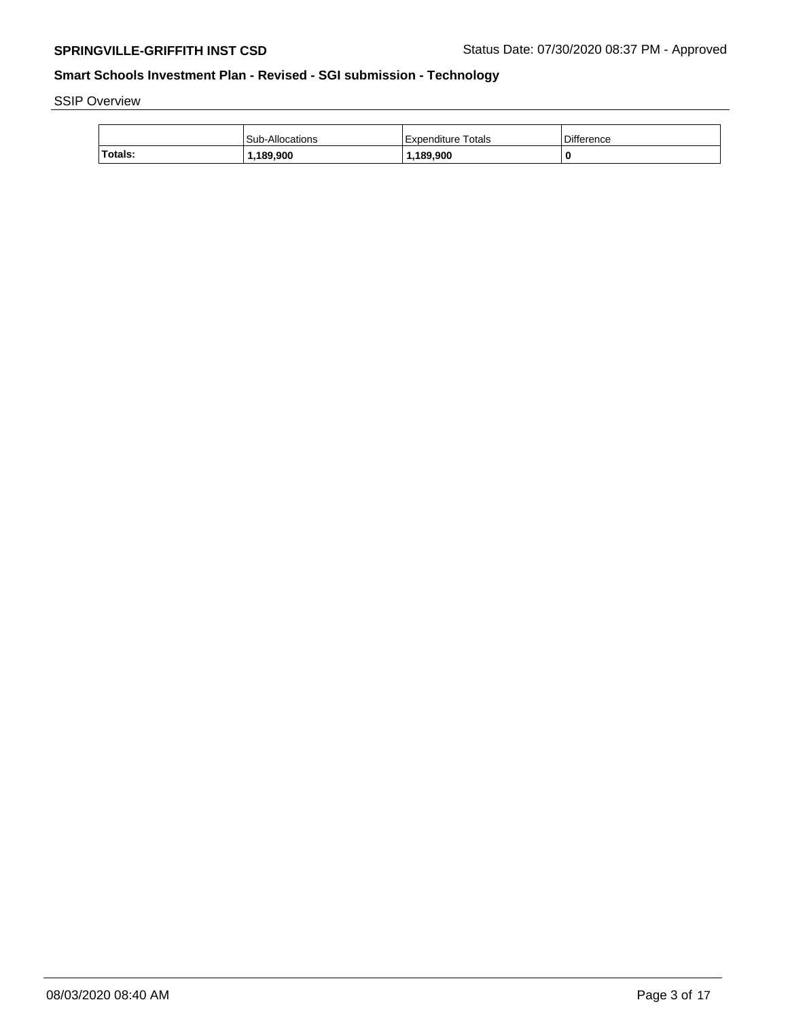SSIP Overview

|         | <b>Sub-Allocations</b> | Expenditure Totals | <b>Difference</b> |
|---------|------------------------|--------------------|-------------------|
| Totals: | 1,189,900              | ,189,900           |                   |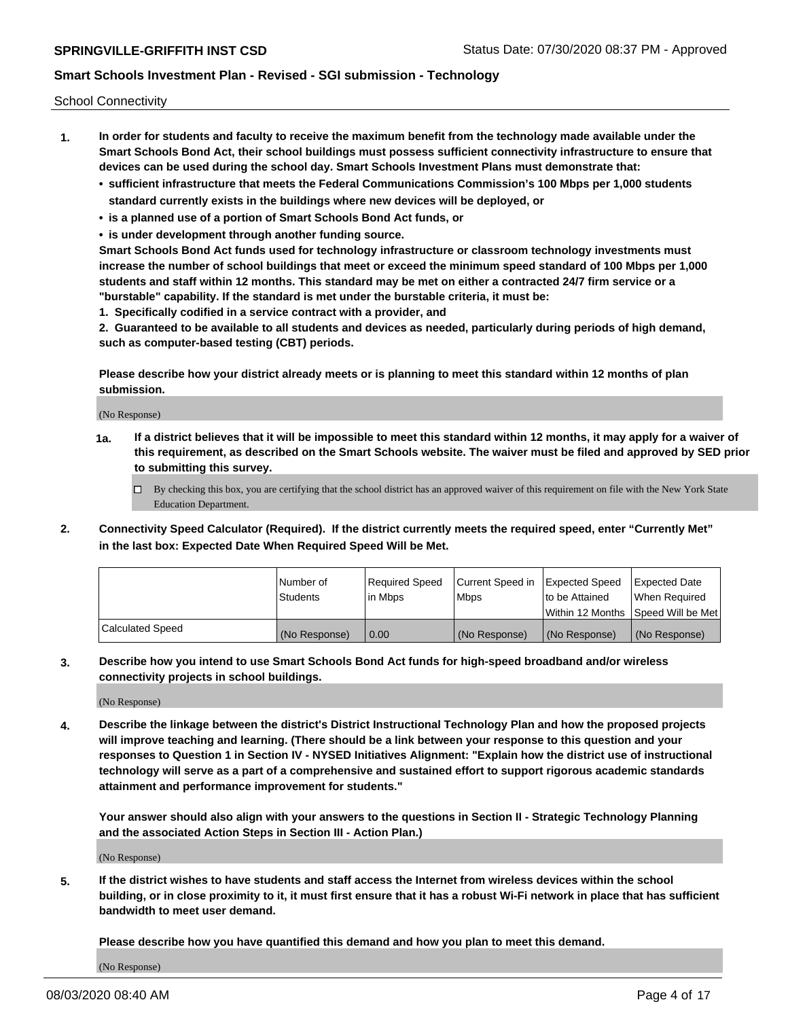School Connectivity

- **1. In order for students and faculty to receive the maximum benefit from the technology made available under the Smart Schools Bond Act, their school buildings must possess sufficient connectivity infrastructure to ensure that devices can be used during the school day. Smart Schools Investment Plans must demonstrate that:**
	- **• sufficient infrastructure that meets the Federal Communications Commission's 100 Mbps per 1,000 students standard currently exists in the buildings where new devices will be deployed, or**
	- **• is a planned use of a portion of Smart Schools Bond Act funds, or**
	- **• is under development through another funding source.**

**Smart Schools Bond Act funds used for technology infrastructure or classroom technology investments must increase the number of school buildings that meet or exceed the minimum speed standard of 100 Mbps per 1,000 students and staff within 12 months. This standard may be met on either a contracted 24/7 firm service or a "burstable" capability. If the standard is met under the burstable criteria, it must be:**

**1. Specifically codified in a service contract with a provider, and**

**2. Guaranteed to be available to all students and devices as needed, particularly during periods of high demand, such as computer-based testing (CBT) periods.**

**Please describe how your district already meets or is planning to meet this standard within 12 months of plan submission.**

(No Response)

**1a. If a district believes that it will be impossible to meet this standard within 12 months, it may apply for a waiver of this requirement, as described on the Smart Schools website. The waiver must be filed and approved by SED prior to submitting this survey.**

 $\Box$  By checking this box, you are certifying that the school district has an approved waiver of this requirement on file with the New York State Education Department.

**2. Connectivity Speed Calculator (Required). If the district currently meets the required speed, enter "Currently Met" in the last box: Expected Date When Required Speed Will be Met.**

|                  | l Number of     | Required Speed | Current Speed in | Expected Speed  | Expected Date                           |
|------------------|-----------------|----------------|------------------|-----------------|-----------------------------------------|
|                  | <b>Students</b> | In Mbps        | l Mbps           | to be Attained  | When Required                           |
|                  |                 |                |                  |                 | l Within 12 Months ISpeed Will be Met l |
| Calculated Speed | (No Response)   | 0.00           | (No Response)    | l (No Response) | l (No Response)                         |

**3. Describe how you intend to use Smart Schools Bond Act funds for high-speed broadband and/or wireless connectivity projects in school buildings.**

(No Response)

**4. Describe the linkage between the district's District Instructional Technology Plan and how the proposed projects will improve teaching and learning. (There should be a link between your response to this question and your responses to Question 1 in Section IV - NYSED Initiatives Alignment: "Explain how the district use of instructional technology will serve as a part of a comprehensive and sustained effort to support rigorous academic standards attainment and performance improvement for students."** 

**Your answer should also align with your answers to the questions in Section II - Strategic Technology Planning and the associated Action Steps in Section III - Action Plan.)**

(No Response)

**5. If the district wishes to have students and staff access the Internet from wireless devices within the school building, or in close proximity to it, it must first ensure that it has a robust Wi-Fi network in place that has sufficient bandwidth to meet user demand.**

**Please describe how you have quantified this demand and how you plan to meet this demand.**

(No Response)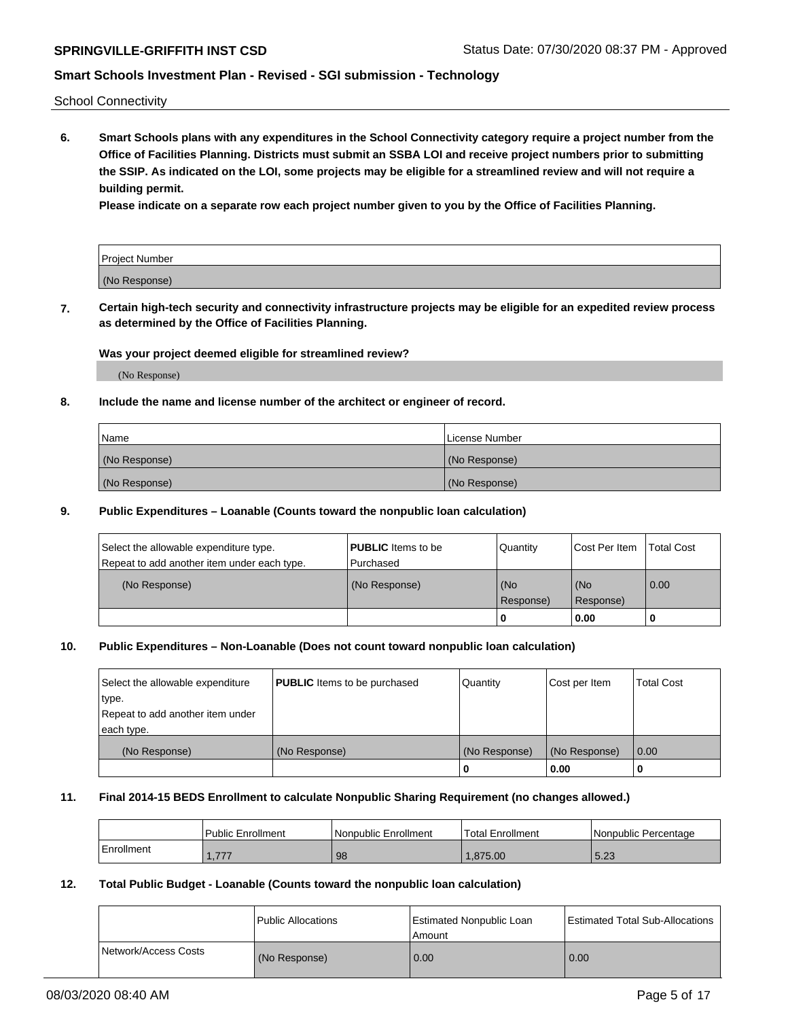School Connectivity

**6. Smart Schools plans with any expenditures in the School Connectivity category require a project number from the Office of Facilities Planning. Districts must submit an SSBA LOI and receive project numbers prior to submitting the SSIP. As indicated on the LOI, some projects may be eligible for a streamlined review and will not require a building permit.**

**Please indicate on a separate row each project number given to you by the Office of Facilities Planning.**

| Project Number |  |
|----------------|--|
| (No Response)  |  |

**7. Certain high-tech security and connectivity infrastructure projects may be eligible for an expedited review process as determined by the Office of Facilities Planning.**

### **Was your project deemed eligible for streamlined review?**

(No Response)

### **8. Include the name and license number of the architect or engineer of record.**

| Name          | License Number |
|---------------|----------------|
| (No Response) | (No Response)  |
| (No Response) | (No Response)  |

### **9. Public Expenditures – Loanable (Counts toward the nonpublic loan calculation)**

| Select the allowable expenditure type.      | <b>PUBLIC</b> Items to be | Quantity         | <b>Cost Per Item</b> | <b>Total Cost</b> |
|---------------------------------------------|---------------------------|------------------|----------------------|-------------------|
| Repeat to add another item under each type. | Purchased                 |                  |                      |                   |
| (No Response)                               | (No Response)             | (No<br>Response) | l (No<br>Response)   | 0.00              |
|                                             |                           | u                | 0.00                 | υ                 |

### **10. Public Expenditures – Non-Loanable (Does not count toward nonpublic loan calculation)**

| Select the allowable expenditure | <b>PUBLIC</b> Items to be purchased | Quantity      | Cost per Item | <b>Total Cost</b> |
|----------------------------------|-------------------------------------|---------------|---------------|-------------------|
| type.                            |                                     |               |               |                   |
| Repeat to add another item under |                                     |               |               |                   |
| each type.                       |                                     |               |               |                   |
| (No Response)                    | (No Response)                       | (No Response) | (No Response) | 0.00              |
|                                  |                                     | 0             | 0.00          |                   |

### **11. Final 2014-15 BEDS Enrollment to calculate Nonpublic Sharing Requirement (no changes allowed.)**

|            | <b>Public Enrollment</b> | l Nonpublic Enrollment | <b>Total Enrollment</b> | Nonpublic Percentage |
|------------|--------------------------|------------------------|-------------------------|----------------------|
| Enrollment | 777<br>. . <i>. .</i> .  | 98                     | .875.00                 | 5.23                 |

### **12. Total Public Budget - Loanable (Counts toward the nonpublic loan calculation)**

|                      | Public Allocations | <b>Estimated Nonpublic Loan</b><br>Amount | <b>Estimated Total Sub-Allocations</b> |
|----------------------|--------------------|-------------------------------------------|----------------------------------------|
| Network/Access Costs | (No Response)      | 0.00                                      | 0.00                                   |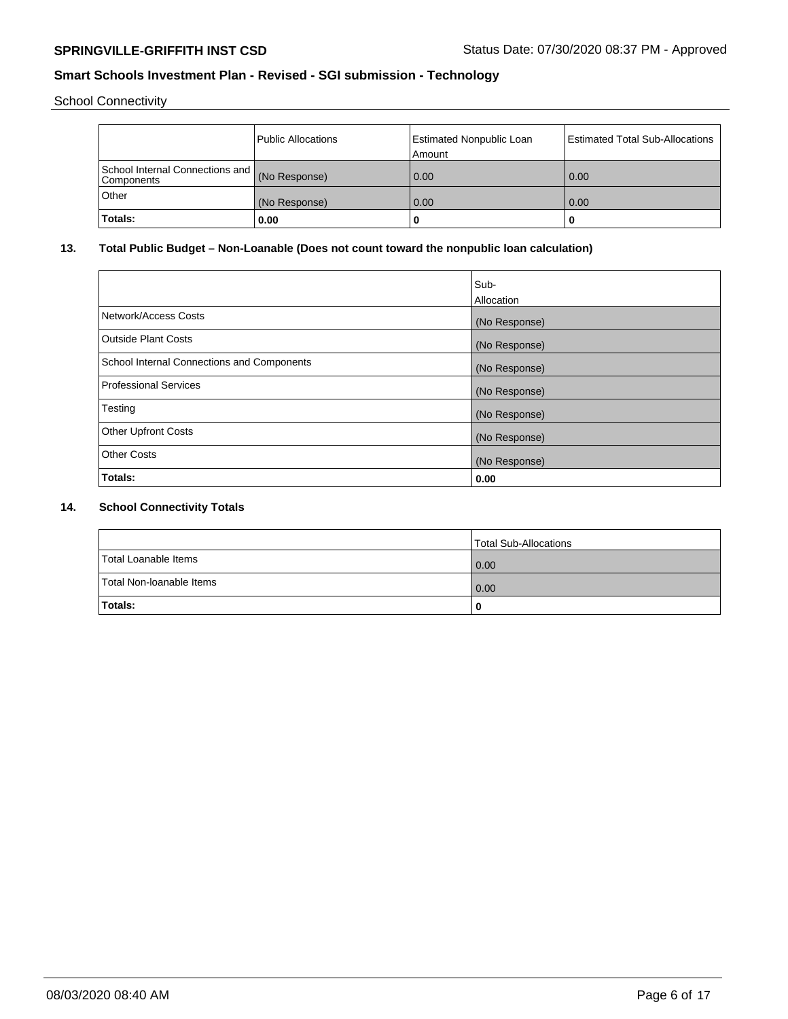School Connectivity

|                                                             | Public Allocations | Estimated Nonpublic Loan<br>Amount | <b>Estimated Total Sub-Allocations</b> |
|-------------------------------------------------------------|--------------------|------------------------------------|----------------------------------------|
| School Internal Connections and (No Response)<br>Components |                    | 0.00                               | 0.00                                   |
| Other                                                       | (No Response)      | 0.00                               | 0.00                                   |
| Totals:                                                     | 0.00               |                                    | ш                                      |

## **13. Total Public Budget – Non-Loanable (Does not count toward the nonpublic loan calculation)**

|                                            | Sub-          |
|--------------------------------------------|---------------|
|                                            | Allocation    |
| Network/Access Costs                       | (No Response) |
| <b>Outside Plant Costs</b>                 | (No Response) |
| School Internal Connections and Components | (No Response) |
| Professional Services                      | (No Response) |
| Testing                                    | (No Response) |
| <b>Other Upfront Costs</b>                 | (No Response) |
| <b>Other Costs</b>                         | (No Response) |
| Totals:                                    | 0.00          |

## **14. School Connectivity Totals**

|                          | <b>Total Sub-Allocations</b> |
|--------------------------|------------------------------|
| Total Loanable Items     | 0.00                         |
| Total Non-Ioanable Items | 0.00                         |
| Totals:                  | 0                            |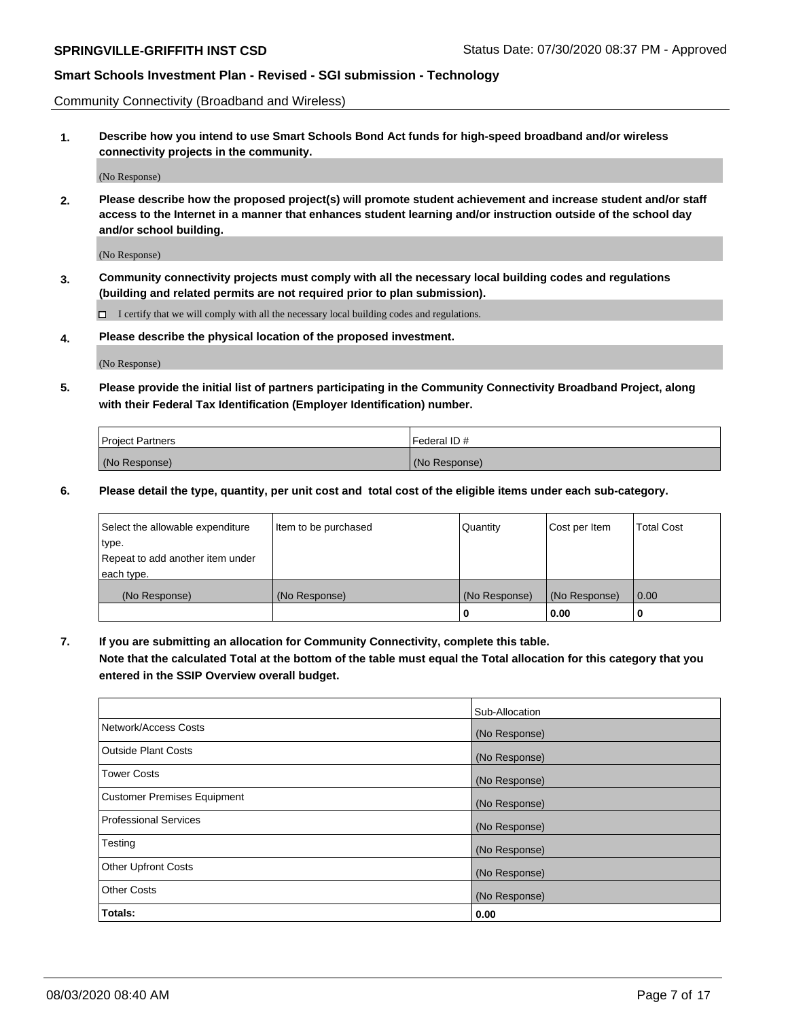Community Connectivity (Broadband and Wireless)

**1. Describe how you intend to use Smart Schools Bond Act funds for high-speed broadband and/or wireless connectivity projects in the community.**

(No Response)

**2. Please describe how the proposed project(s) will promote student achievement and increase student and/or staff access to the Internet in a manner that enhances student learning and/or instruction outside of the school day and/or school building.**

(No Response)

**3. Community connectivity projects must comply with all the necessary local building codes and regulations (building and related permits are not required prior to plan submission).**

 $\Box$  I certify that we will comply with all the necessary local building codes and regulations.

**4. Please describe the physical location of the proposed investment.**

(No Response)

**5. Please provide the initial list of partners participating in the Community Connectivity Broadband Project, along with their Federal Tax Identification (Employer Identification) number.**

| <b>Project Partners</b> | l Federal ID # |
|-------------------------|----------------|
| (No Response)           | (No Response)  |

**6. Please detail the type, quantity, per unit cost and total cost of the eligible items under each sub-category.**

| Select the allowable expenditure | Item to be purchased | Quantity      | Cost per Item | <b>Total Cost</b> |
|----------------------------------|----------------------|---------------|---------------|-------------------|
| type.                            |                      |               |               |                   |
| Repeat to add another item under |                      |               |               |                   |
| each type.                       |                      |               |               |                   |
| (No Response)                    | (No Response)        | (No Response) | (No Response) | 0.00              |
|                                  |                      | o             | 0.00          |                   |

**7. If you are submitting an allocation for Community Connectivity, complete this table.**

**Note that the calculated Total at the bottom of the table must equal the Total allocation for this category that you entered in the SSIP Overview overall budget.**

|                                    | Sub-Allocation |
|------------------------------------|----------------|
| Network/Access Costs               | (No Response)  |
| Outside Plant Costs                | (No Response)  |
| <b>Tower Costs</b>                 | (No Response)  |
| <b>Customer Premises Equipment</b> | (No Response)  |
| <b>Professional Services</b>       | (No Response)  |
| Testing                            | (No Response)  |
| <b>Other Upfront Costs</b>         | (No Response)  |
| <b>Other Costs</b>                 | (No Response)  |
| Totals:                            | 0.00           |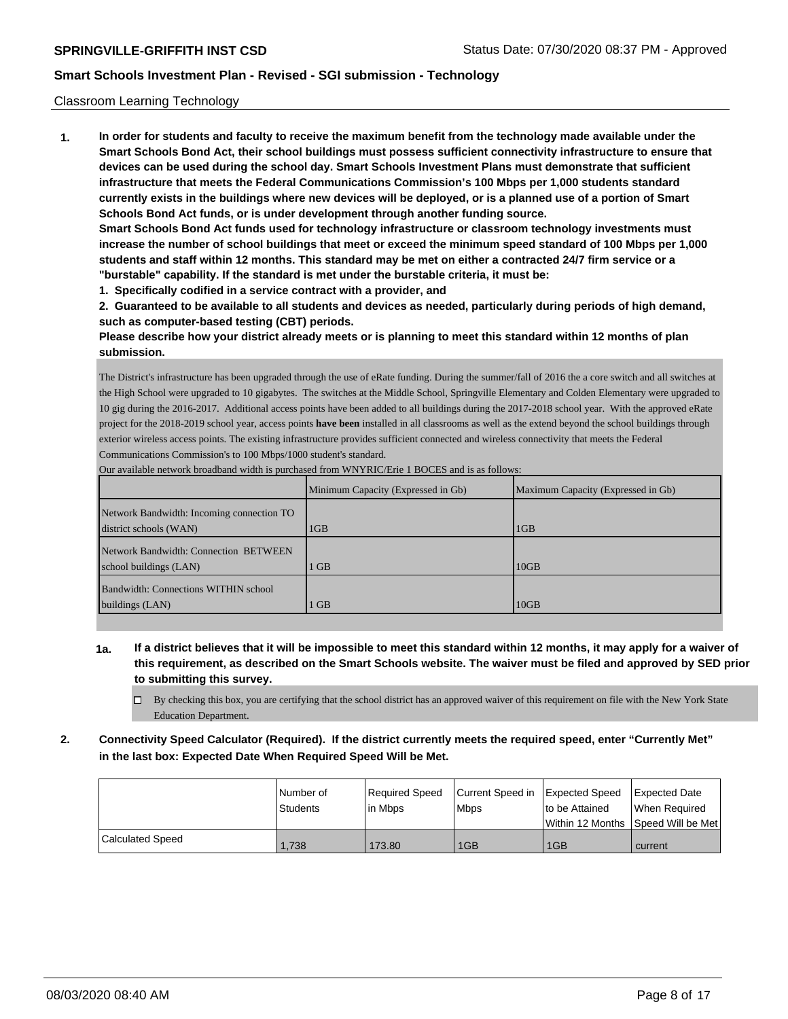### Classroom Learning Technology

**1. In order for students and faculty to receive the maximum benefit from the technology made available under the Smart Schools Bond Act, their school buildings must possess sufficient connectivity infrastructure to ensure that devices can be used during the school day. Smart Schools Investment Plans must demonstrate that sufficient infrastructure that meets the Federal Communications Commission's 100 Mbps per 1,000 students standard currently exists in the buildings where new devices will be deployed, or is a planned use of a portion of Smart Schools Bond Act funds, or is under development through another funding source. Smart Schools Bond Act funds used for technology infrastructure or classroom technology investments must**

**increase the number of school buildings that meet or exceed the minimum speed standard of 100 Mbps per 1,000 students and staff within 12 months. This standard may be met on either a contracted 24/7 firm service or a "burstable" capability. If the standard is met under the burstable criteria, it must be:**

**1. Specifically codified in a service contract with a provider, and**

**2. Guaranteed to be available to all students and devices as needed, particularly during periods of high demand, such as computer-based testing (CBT) periods.**

**Please describe how your district already meets or is planning to meet this standard within 12 months of plan submission.**

The District's infrastructure has been upgraded through the use of eRate funding. During the summer/fall of 2016 the a core switch and all switches at the High School were upgraded to 10 gigabytes. The switches at the Middle School, Springville Elementary and Colden Elementary were upgraded to 10 gig during the 2016-2017. Additional access points have been added to all buildings during the 2017-2018 school year. With the approved eRate project for the 2018-2019 school year, access points **have been** installed in all classrooms as well as the extend beyond the school buildings through exterior wireless access points. The existing infrastructure provides sufficient connected and wireless connectivity that meets the Federal Communications Commission's to 100 Mbps/1000 student's standard.

|                                                                     | Minimum Capacity (Expressed in Gb) | Maximum Capacity (Expressed in Gb) |
|---------------------------------------------------------------------|------------------------------------|------------------------------------|
| Network Bandwidth: Incoming connection TO<br>district schools (WAN) | 1 <sub>GB</sub>                    | 1 <sub>GB</sub>                    |
| Network Bandwidth: Connection BETWEEN<br>school buildings (LAN)     | <b>GB</b>                          | 10GB                               |
| Bandwidth: Connections WITHIN school<br>buildings (LAN)             | <b>GB</b>                          | 10GB                               |

Our available network broadband width is purchased from WNYRIC/Erie 1 BOCES and is as follows:

**1a. If a district believes that it will be impossible to meet this standard within 12 months, it may apply for a waiver of this requirement, as described on the Smart Schools website. The waiver must be filed and approved by SED prior to submitting this survey.**

 $\Box$  By checking this box, you are certifying that the school district has an approved waiver of this requirement on file with the New York State Education Department.

**2. Connectivity Speed Calculator (Required). If the district currently meets the required speed, enter "Currently Met" in the last box: Expected Date When Required Speed Will be Met.**

|                  | l Number of | Required Speed       | Current Speed in Expected Speed |                | <b>Expected Date</b>                |
|------------------|-------------|----------------------|---------------------------------|----------------|-------------------------------------|
|                  | Students    | <sup>I</sup> in Mbps | <b>Mbps</b>                     | to be Attained | When Reauired                       |
|                  |             |                      |                                 |                | Within 12 Months 1Speed Will be Met |
| Calculated Speed | 1.738       | 173.80               | 1GB                             | 1GB            | current                             |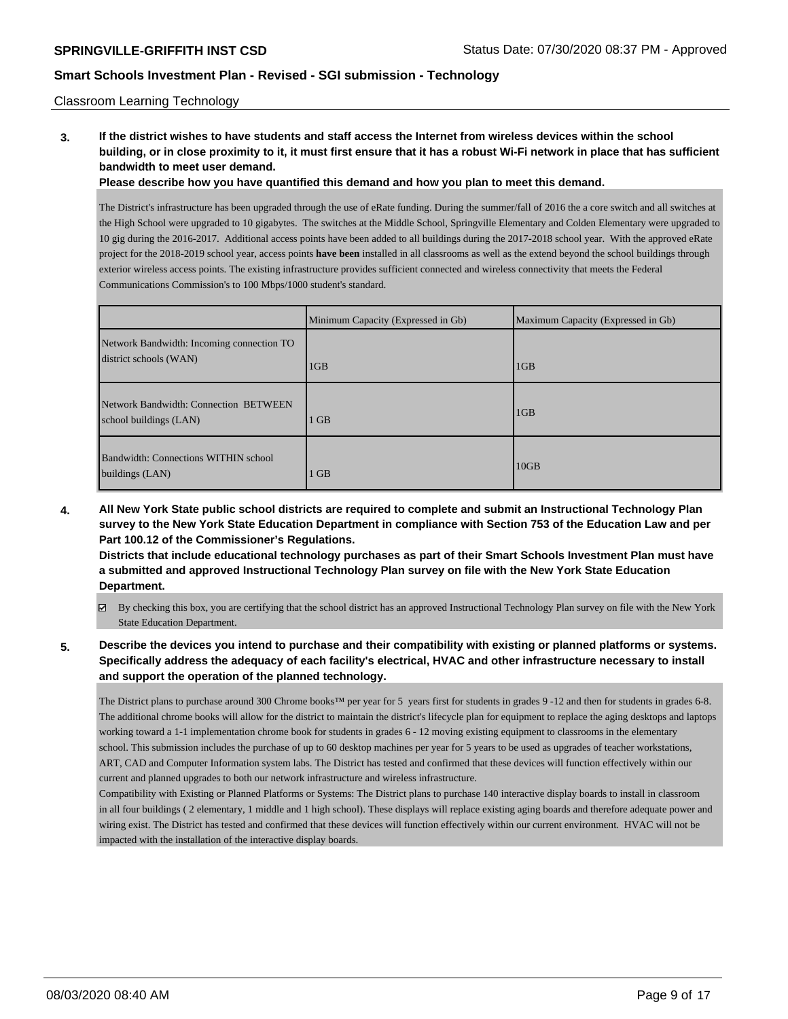### Classroom Learning Technology

**3. If the district wishes to have students and staff access the Internet from wireless devices within the school building, or in close proximity to it, it must first ensure that it has a robust Wi-Fi network in place that has sufficient bandwidth to meet user demand.**

**Please describe how you have quantified this demand and how you plan to meet this demand.**

The District's infrastructure has been upgraded through the use of eRate funding. During the summer/fall of 2016 the a core switch and all switches at the High School were upgraded to 10 gigabytes. The switches at the Middle School, Springville Elementary and Colden Elementary were upgraded to 10 gig during the 2016-2017. Additional access points have been added to all buildings during the 2017-2018 school year. With the approved eRate project for the 2018-2019 school year, access points **have been** installed in all classrooms as well as the extend beyond the school buildings through exterior wireless access points. The existing infrastructure provides sufficient connected and wireless connectivity that meets the Federal Communications Commission's to 100 Mbps/1000 student's standard.

|                                                                     | Minimum Capacity (Expressed in Gb) | Maximum Capacity (Expressed in Gb) |
|---------------------------------------------------------------------|------------------------------------|------------------------------------|
| Network Bandwidth: Incoming connection TO<br>district schools (WAN) | 1 <sub>GB</sub>                    | 1GB                                |
| Network Bandwidth: Connection BETWEEN<br>school buildings (LAN)     | <b>GB</b>                          | 1GB                                |
| Bandwidth: Connections WITHIN school<br>buildings (LAN)             | <b>GB</b>                          | 10GB                               |

**4. All New York State public school districts are required to complete and submit an Instructional Technology Plan survey to the New York State Education Department in compliance with Section 753 of the Education Law and per Part 100.12 of the Commissioner's Regulations.**

**Districts that include educational technology purchases as part of their Smart Schools Investment Plan must have a submitted and approved Instructional Technology Plan survey on file with the New York State Education Department.**

By checking this box, you are certifying that the school district has an approved Instructional Technology Plan survey on file with the New York State Education Department.

## **5. Describe the devices you intend to purchase and their compatibility with existing or planned platforms or systems. Specifically address the adequacy of each facility's electrical, HVAC and other infrastructure necessary to install and support the operation of the planned technology.**

The District plans to purchase around 300 Chrome books™ per year for 5 years first for students in grades 9 -12 and then for students in grades 6-8. The additional chrome books will allow for the district to maintain the district's lifecycle plan for equipment to replace the aging desktops and laptops working toward a 1-1 implementation chrome book for students in grades 6 - 12 moving existing equipment to classrooms in the elementary school. This submission includes the purchase of up to 60 desktop machines per year for 5 years to be used as upgrades of teacher workstations, ART, CAD and Computer Information system labs. The District has tested and confirmed that these devices will function effectively within our current and planned upgrades to both our network infrastructure and wireless infrastructure.

Compatibility with Existing or Planned Platforms or Systems: The District plans to purchase 140 interactive display boards to install in classroom in all four buildings ( 2 elementary, 1 middle and 1 high school). These displays will replace existing aging boards and therefore adequate power and wiring exist. The District has tested and confirmed that these devices will function effectively within our current environment. HVAC will not be impacted with the installation of the interactive display boards.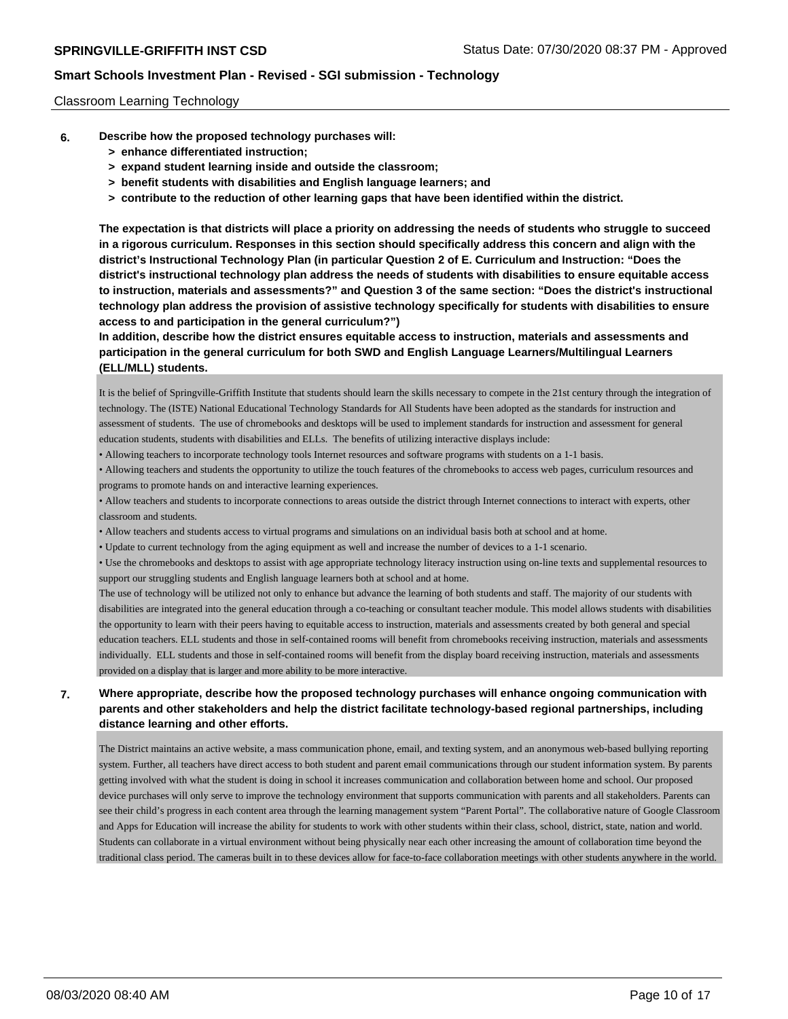### Classroom Learning Technology

- **6. Describe how the proposed technology purchases will:**
	- **> enhance differentiated instruction;**
	- **> expand student learning inside and outside the classroom;**
	- **> benefit students with disabilities and English language learners; and**
	- **> contribute to the reduction of other learning gaps that have been identified within the district.**

**The expectation is that districts will place a priority on addressing the needs of students who struggle to succeed in a rigorous curriculum. Responses in this section should specifically address this concern and align with the district's Instructional Technology Plan (in particular Question 2 of E. Curriculum and Instruction: "Does the district's instructional technology plan address the needs of students with disabilities to ensure equitable access to instruction, materials and assessments?" and Question 3 of the same section: "Does the district's instructional technology plan address the provision of assistive technology specifically for students with disabilities to ensure access to and participation in the general curriculum?")**

**In addition, describe how the district ensures equitable access to instruction, materials and assessments and participation in the general curriculum for both SWD and English Language Learners/Multilingual Learners (ELL/MLL) students.**

It is the belief of Springville-Griffith Institute that students should learn the skills necessary to compete in the 21st century through the integration of technology. The (ISTE) National Educational Technology Standards for All Students have been adopted as the standards for instruction and assessment of students. The use of chromebooks and desktops will be used to implement standards for instruction and assessment for general education students, students with disabilities and ELLs. The benefits of utilizing interactive displays include:

• Allowing teachers to incorporate technology tools Internet resources and software programs with students on a 1-1 basis.

• Allowing teachers and students the opportunity to utilize the touch features of the chromebooks to access web pages, curriculum resources and programs to promote hands on and interactive learning experiences.

• Allow teachers and students to incorporate connections to areas outside the district through Internet connections to interact with experts, other classroom and students.

• Allow teachers and students access to virtual programs and simulations on an individual basis both at school and at home.

• Update to current technology from the aging equipment as well and increase the number of devices to a 1-1 scenario.

• Use the chromebooks and desktops to assist with age appropriate technology literacy instruction using on-line texts and supplemental resources to support our struggling students and English language learners both at school and at home.

The use of technology will be utilized not only to enhance but advance the learning of both students and staff. The majority of our students with disabilities are integrated into the general education through a co-teaching or consultant teacher module. This model allows students with disabilities the opportunity to learn with their peers having to equitable access to instruction, materials and assessments created by both general and special education teachers. ELL students and those in self-contained rooms will benefit from chromebooks receiving instruction, materials and assessments individually. ELL students and those in self-contained rooms will benefit from the display board receiving instruction, materials and assessments provided on a display that is larger and more ability to be more interactive.

# **7. Where appropriate, describe how the proposed technology purchases will enhance ongoing communication with parents and other stakeholders and help the district facilitate technology-based regional partnerships, including distance learning and other efforts.**

The District maintains an active website, a mass communication phone, email, and texting system, and an anonymous web-based bullying reporting system. Further, all teachers have direct access to both student and parent email communications through our student information system. By parents getting involved with what the student is doing in school it increases communication and collaboration between home and school. Our proposed device purchases will only serve to improve the technology environment that supports communication with parents and all stakeholders. Parents can see their child's progress in each content area through the learning management system "Parent Portal". The collaborative nature of Google Classroom and Apps for Education will increase the ability for students to work with other students within their class, school, district, state, nation and world. Students can collaborate in a virtual environment without being physically near each other increasing the amount of collaboration time beyond the traditional class period. The cameras built in to these devices allow for face-to-face collaboration meetings with other students anywhere in the world.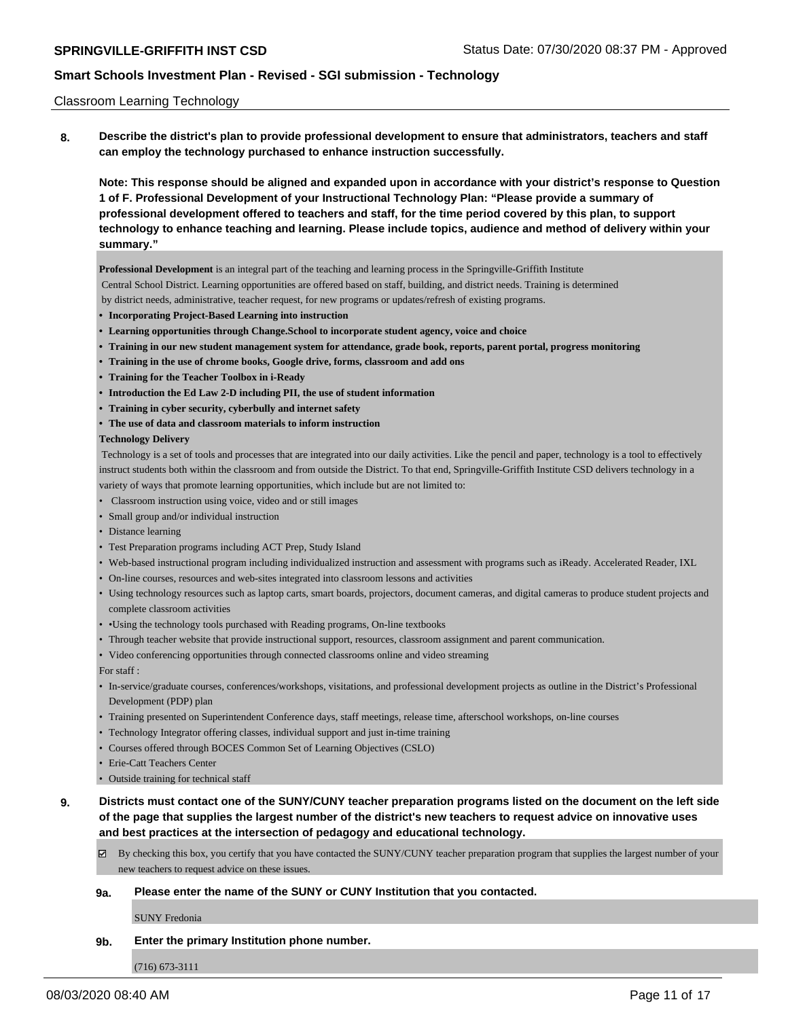### Classroom Learning Technology

**8. Describe the district's plan to provide professional development to ensure that administrators, teachers and staff can employ the technology purchased to enhance instruction successfully.**

**Note: This response should be aligned and expanded upon in accordance with your district's response to Question 1 of F. Professional Development of your Instructional Technology Plan: "Please provide a summary of professional development offered to teachers and staff, for the time period covered by this plan, to support technology to enhance teaching and learning. Please include topics, audience and method of delivery within your summary."**

**Professional Development** is an integral part of the teaching and learning process in the Springville-Griffith Institute

- Central School District. Learning opportunities are offered based on staff, building, and district needs. Training is determined
- by district needs, administrative, teacher request, for new programs or updates/refresh of existing programs.
- **• Incorporating Project-Based Learning into instruction**
- **• Learning opportunities through Change.School to incorporate student agency, voice and choice**
- **• Training in our new student management system for attendance, grade book, reports, parent portal, progress monitoring**
- **• Training in the use of chrome books, Google drive, forms, classroom and add ons**
- **• Training for the Teacher Toolbox in i-Ready**
- **• Introduction the Ed Law 2-D including PII, the use of student information**
- **• Training in cyber security, cyberbully and internet safety**
- **• The use of data and classroom materials to inform instruction**

#### **Technology Delivery**

 Technology is a set of tools and processes that are integrated into our daily activities. Like the pencil and paper, technology is a tool to effectively instruct students both within the classroom and from outside the District. To that end, Springville-Griffith Institute CSD delivers technology in a variety of ways that promote learning opportunities, which include but are not limited to:

- Classroom instruction using voice, video and or still images
- Small group and/or individual instruction
- Distance learning
- Test Preparation programs including ACT Prep, Study Island
- Web-based instructional program including individualized instruction and assessment with programs such as iReady. Accelerated Reader, IXL
- On-line courses, resources and web-sites integrated into classroom lessons and activities
- Using technology resources such as laptop carts, smart boards, projectors, document cameras, and digital cameras to produce student projects and complete classroom activities
- •Using the technology tools purchased with Reading programs, On-line textbooks
- Through teacher website that provide instructional support, resources, classroom assignment and parent communication.
- Video conferencing opportunities through connected classrooms online and video streaming

For staff :

- In-service/graduate courses, conferences/workshops, visitations, and professional development projects as outline in the District's Professional Development (PDP) plan
- Training presented on Superintendent Conference days, staff meetings, release time, afterschool workshops, on-line courses
- Technology Integrator offering classes, individual support and just in-time training
- Courses offered through BOCES Common Set of Learning Objectives (CSLO)
- Erie-Catt Teachers Center
- Outside training for technical staff
- **9. Districts must contact one of the SUNY/CUNY teacher preparation programs listed on the document on the left side of the page that supplies the largest number of the district's new teachers to request advice on innovative uses and best practices at the intersection of pedagogy and educational technology.**
	- By checking this box, you certify that you have contacted the SUNY/CUNY teacher preparation program that supplies the largest number of your new teachers to request advice on these issues.

### **9a. Please enter the name of the SUNY or CUNY Institution that you contacted.**

SUNY Fredonia

### **9b. Enter the primary Institution phone number.**

(716) 673-3111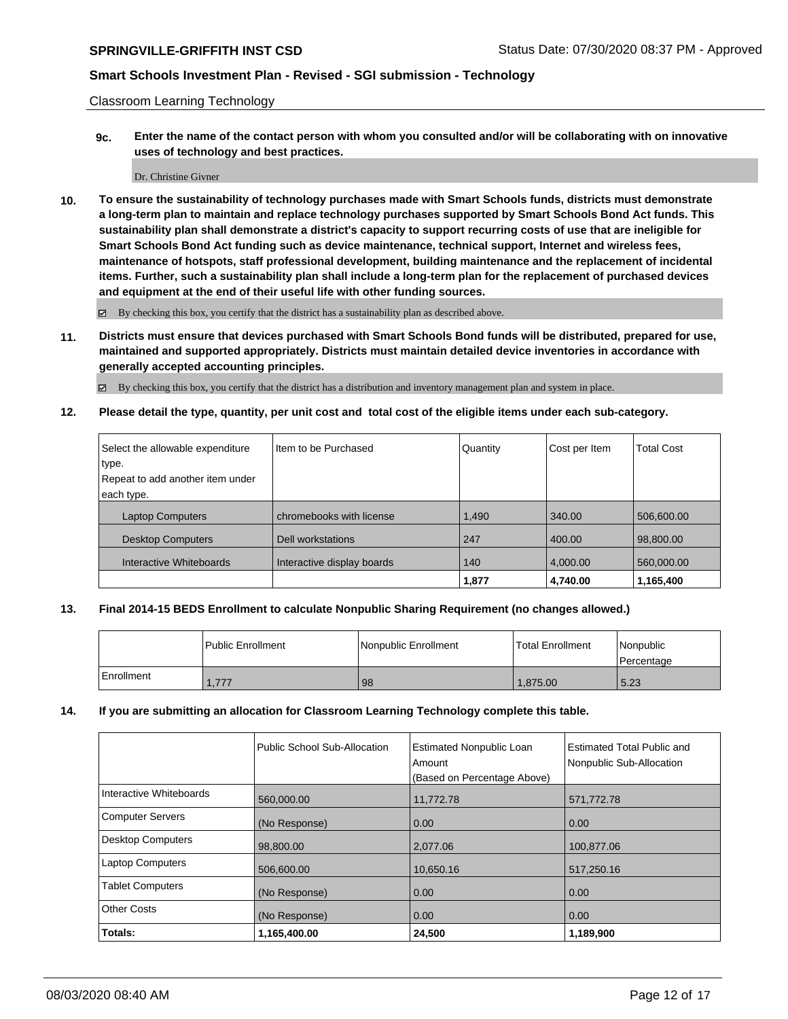Classroom Learning Technology

**9c. Enter the name of the contact person with whom you consulted and/or will be collaborating with on innovative uses of technology and best practices.**

#### Dr. Christine Givner

**10. To ensure the sustainability of technology purchases made with Smart Schools funds, districts must demonstrate a long-term plan to maintain and replace technology purchases supported by Smart Schools Bond Act funds. This sustainability plan shall demonstrate a district's capacity to support recurring costs of use that are ineligible for Smart Schools Bond Act funding such as device maintenance, technical support, Internet and wireless fees, maintenance of hotspots, staff professional development, building maintenance and the replacement of incidental items. Further, such a sustainability plan shall include a long-term plan for the replacement of purchased devices and equipment at the end of their useful life with other funding sources.**

By checking this box, you certify that the district has a sustainability plan as described above.

**11. Districts must ensure that devices purchased with Smart Schools Bond funds will be distributed, prepared for use, maintained and supported appropriately. Districts must maintain detailed device inventories in accordance with generally accepted accounting principles.**

By checking this box, you certify that the district has a distribution and inventory management plan and system in place.

**12. Please detail the type, quantity, per unit cost and total cost of the eligible items under each sub-category.**

| Select the allowable expenditure | Iltem to be Purchased      | Quantity | Cost per Item | Total Cost |
|----------------------------------|----------------------------|----------|---------------|------------|
| type.                            |                            |          |               |            |
| Repeat to add another item under |                            |          |               |            |
| each type.                       |                            |          |               |            |
| <b>Laptop Computers</b>          | chromebooks with license   | 1,490    | 340.00        | 506,600.00 |
| <b>Desktop Computers</b>         | Dell workstations          | 247      | 400.00        | 98,800.00  |
| Interactive Whiteboards          | Interactive display boards | 140      | 4,000.00      | 560,000.00 |
|                                  |                            | 1,877    | 4,740.00      | 1,165,400  |

### **13. Final 2014-15 BEDS Enrollment to calculate Nonpublic Sharing Requirement (no changes allowed.)**

|            | l Public Enrollment | Nonpublic Enrollment | <b>Total Enrollment</b> | Nonpublic<br>Percentage |
|------------|---------------------|----------------------|-------------------------|-------------------------|
| Enrollment | 1,777               | 98                   | 1.875.00                | 5.23                    |

### **14. If you are submitting an allocation for Classroom Learning Technology complete this table.**

|                          | Public School Sub-Allocation | <b>Estimated Nonpublic Loan</b><br>Amount<br>(Based on Percentage Above) | Estimated Total Public and<br>Nonpublic Sub-Allocation |
|--------------------------|------------------------------|--------------------------------------------------------------------------|--------------------------------------------------------|
| Interactive Whiteboards  |                              |                                                                          |                                                        |
|                          | 560,000.00                   | 11,772.78                                                                | 571,772.78                                             |
| <b>Computer Servers</b>  | (No Response)                | 0.00                                                                     | 0.00                                                   |
| <b>Desktop Computers</b> | 98,800.00                    | 2,077.06                                                                 | 100,877.06                                             |
| <b>Laptop Computers</b>  | 506,600.00                   | 10,650.16                                                                | 517,250.16                                             |
| <b>Tablet Computers</b>  | (No Response)                | 0.00                                                                     | 0.00                                                   |
| <b>Other Costs</b>       | (No Response)                | 0.00                                                                     | 0.00                                                   |
| Totals:                  | 1,165,400.00                 | 24,500                                                                   | 1,189,900                                              |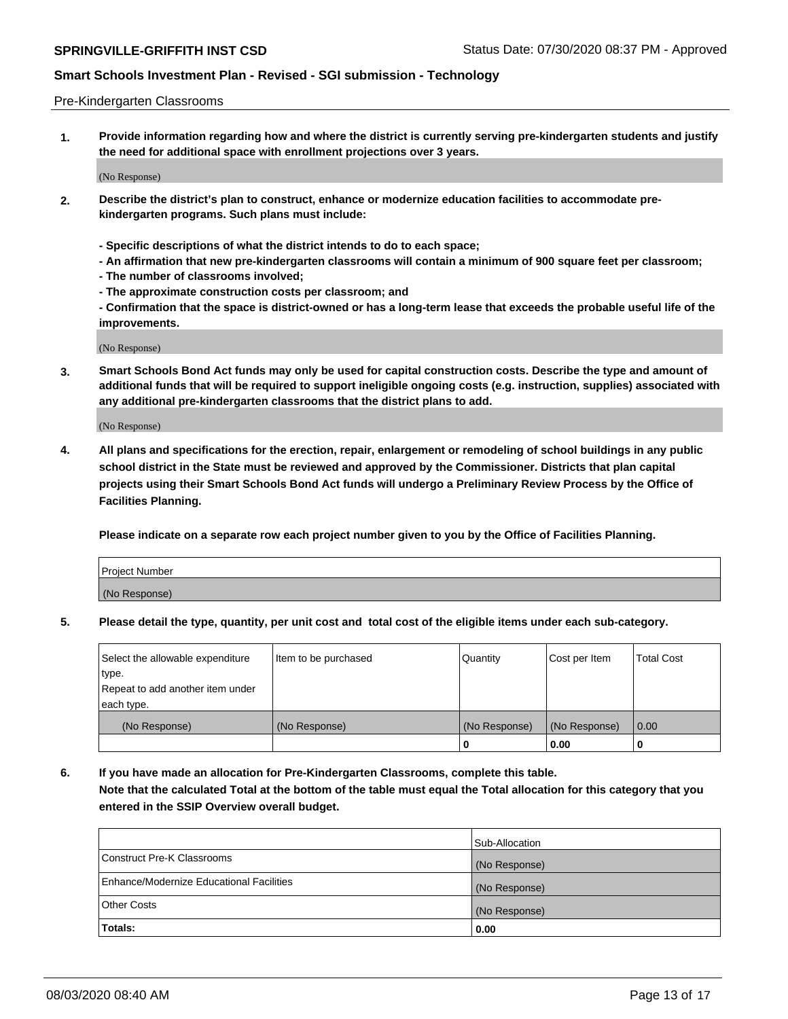### Pre-Kindergarten Classrooms

**1. Provide information regarding how and where the district is currently serving pre-kindergarten students and justify the need for additional space with enrollment projections over 3 years.**

(No Response)

- **2. Describe the district's plan to construct, enhance or modernize education facilities to accommodate prekindergarten programs. Such plans must include:**
	- **Specific descriptions of what the district intends to do to each space;**
	- **An affirmation that new pre-kindergarten classrooms will contain a minimum of 900 square feet per classroom;**
	- **The number of classrooms involved;**
	- **The approximate construction costs per classroom; and**
	- **Confirmation that the space is district-owned or has a long-term lease that exceeds the probable useful life of the improvements.**

(No Response)

**3. Smart Schools Bond Act funds may only be used for capital construction costs. Describe the type and amount of additional funds that will be required to support ineligible ongoing costs (e.g. instruction, supplies) associated with any additional pre-kindergarten classrooms that the district plans to add.**

(No Response)

**4. All plans and specifications for the erection, repair, enlargement or remodeling of school buildings in any public school district in the State must be reviewed and approved by the Commissioner. Districts that plan capital projects using their Smart Schools Bond Act funds will undergo a Preliminary Review Process by the Office of Facilities Planning.**

**Please indicate on a separate row each project number given to you by the Office of Facilities Planning.**

| Project Number |  |
|----------------|--|
| (No Response)  |  |
|                |  |

**5. Please detail the type, quantity, per unit cost and total cost of the eligible items under each sub-category.**

| Select the allowable expenditure | Item to be purchased | Quantity      | Cost per Item | <b>Total Cost</b> |
|----------------------------------|----------------------|---------------|---------------|-------------------|
| type.                            |                      |               |               |                   |
| Repeat to add another item under |                      |               |               |                   |
| each type.                       |                      |               |               |                   |
| (No Response)                    | (No Response)        | (No Response) | (No Response) | 0.00              |
|                                  |                      | υ             | 0.00          |                   |

**6. If you have made an allocation for Pre-Kindergarten Classrooms, complete this table. Note that the calculated Total at the bottom of the table must equal the Total allocation for this category that you entered in the SSIP Overview overall budget.**

|                                          | Sub-Allocation |
|------------------------------------------|----------------|
| Construct Pre-K Classrooms               | (No Response)  |
| Enhance/Modernize Educational Facilities | (No Response)  |
| <b>Other Costs</b>                       | (No Response)  |
| Totals:                                  | 0.00           |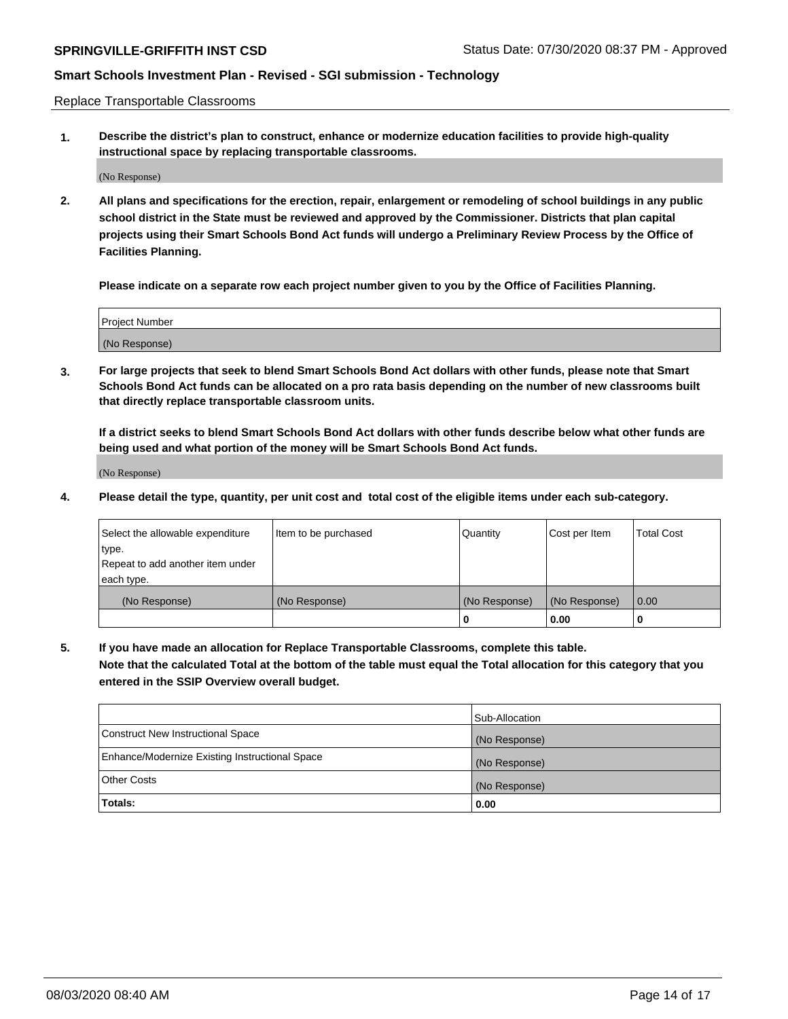Replace Transportable Classrooms

**1. Describe the district's plan to construct, enhance or modernize education facilities to provide high-quality instructional space by replacing transportable classrooms.**

(No Response)

**2. All plans and specifications for the erection, repair, enlargement or remodeling of school buildings in any public school district in the State must be reviewed and approved by the Commissioner. Districts that plan capital projects using their Smart Schools Bond Act funds will undergo a Preliminary Review Process by the Office of Facilities Planning.**

**Please indicate on a separate row each project number given to you by the Office of Facilities Planning.**

| Project Number |  |
|----------------|--|
|                |  |
| (No Response)  |  |

**3. For large projects that seek to blend Smart Schools Bond Act dollars with other funds, please note that Smart Schools Bond Act funds can be allocated on a pro rata basis depending on the number of new classrooms built that directly replace transportable classroom units.**

**If a district seeks to blend Smart Schools Bond Act dollars with other funds describe below what other funds are being used and what portion of the money will be Smart Schools Bond Act funds.**

(No Response)

**4. Please detail the type, quantity, per unit cost and total cost of the eligible items under each sub-category.**

| Select the allowable expenditure | Item to be purchased | Quantity      | Cost per Item | Total Cost |
|----------------------------------|----------------------|---------------|---------------|------------|
| ∣type.                           |                      |               |               |            |
| Repeat to add another item under |                      |               |               |            |
| each type.                       |                      |               |               |            |
| (No Response)                    | (No Response)        | (No Response) | (No Response) | 0.00       |
|                                  |                      | u             | 0.00          |            |

**5. If you have made an allocation for Replace Transportable Classrooms, complete this table. Note that the calculated Total at the bottom of the table must equal the Total allocation for this category that you entered in the SSIP Overview overall budget.**

|                                                | Sub-Allocation |
|------------------------------------------------|----------------|
| Construct New Instructional Space              | (No Response)  |
| Enhance/Modernize Existing Instructional Space | (No Response)  |
| <b>Other Costs</b>                             | (No Response)  |
| Totals:                                        | 0.00           |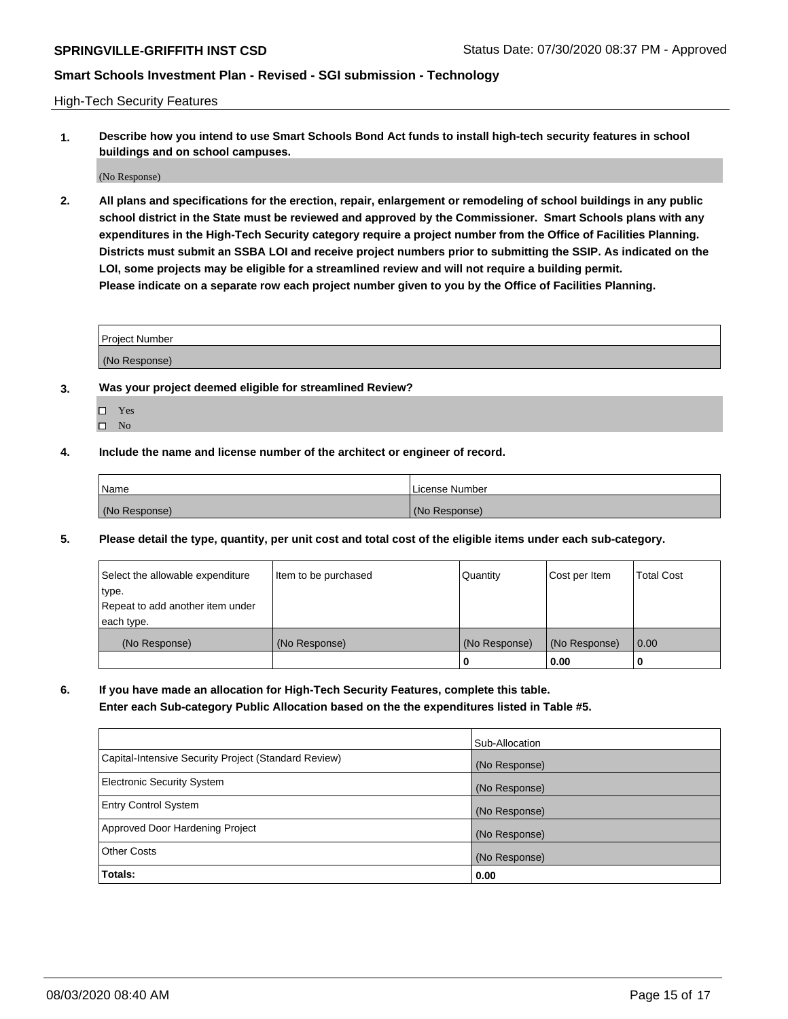High-Tech Security Features

**1. Describe how you intend to use Smart Schools Bond Act funds to install high-tech security features in school buildings and on school campuses.**

(No Response)

**2. All plans and specifications for the erection, repair, enlargement or remodeling of school buildings in any public school district in the State must be reviewed and approved by the Commissioner. Smart Schools plans with any expenditures in the High-Tech Security category require a project number from the Office of Facilities Planning. Districts must submit an SSBA LOI and receive project numbers prior to submitting the SSIP. As indicated on the LOI, some projects may be eligible for a streamlined review and will not require a building permit. Please indicate on a separate row each project number given to you by the Office of Facilities Planning.**

| <b>Project Number</b> |  |
|-----------------------|--|
| (No Response)         |  |

- **3. Was your project deemed eligible for streamlined Review?**
	- Yes
	- $\hfill \square$  No
- **4. Include the name and license number of the architect or engineer of record.**

| Name          | License Number |
|---------------|----------------|
| (No Response) | (No Response)  |

**5. Please detail the type, quantity, per unit cost and total cost of the eligible items under each sub-category.**

| Select the allowable expenditure | Item to be purchased | Quantity      | Cost per Item | <b>Total Cost</b> |
|----------------------------------|----------------------|---------------|---------------|-------------------|
| ∣type.                           |                      |               |               |                   |
| Repeat to add another item under |                      |               |               |                   |
| each type.                       |                      |               |               |                   |
| (No Response)                    | (No Response)        | (No Response) | (No Response) | 0.00              |
|                                  |                      | 0             | 0.00          |                   |

**6. If you have made an allocation for High-Tech Security Features, complete this table.**

**Enter each Sub-category Public Allocation based on the the expenditures listed in Table #5.**

|                                                      | Sub-Allocation |
|------------------------------------------------------|----------------|
| Capital-Intensive Security Project (Standard Review) | (No Response)  |
| <b>Electronic Security System</b>                    | (No Response)  |
| <b>Entry Control System</b>                          | (No Response)  |
| Approved Door Hardening Project                      | (No Response)  |
| <b>Other Costs</b>                                   | (No Response)  |
| Totals:                                              | 0.00           |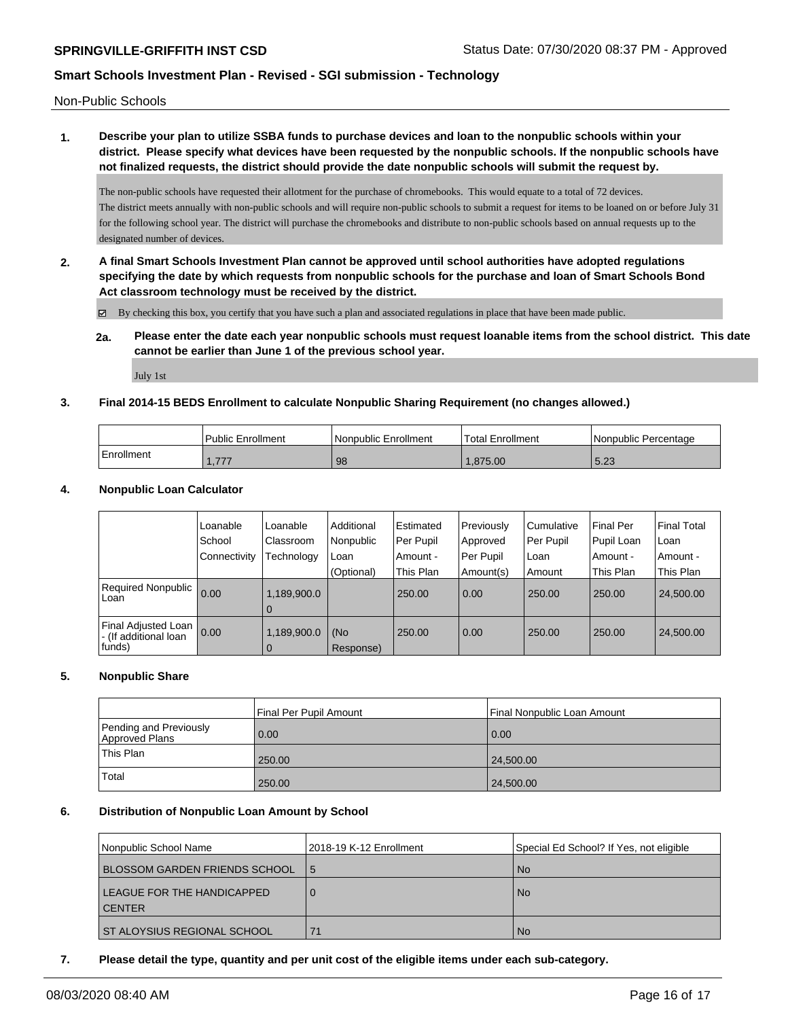Non-Public Schools

# **1. Describe your plan to utilize SSBA funds to purchase devices and loan to the nonpublic schools within your district. Please specify what devices have been requested by the nonpublic schools. If the nonpublic schools have not finalized requests, the district should provide the date nonpublic schools will submit the request by.**

The non-public schools have requested their allotment for the purchase of chromebooks. This would equate to a total of 72 devices. The district meets annually with non-public schools and will require non-public schools to submit a request for items to be loaned on or before July 31 for the following school year. The district will purchase the chromebooks and distribute to non-public schools based on annual requests up to the designated number of devices.

**2. A final Smart Schools Investment Plan cannot be approved until school authorities have adopted regulations specifying the date by which requests from nonpublic schools for the purchase and loan of Smart Schools Bond Act classroom technology must be received by the district.**

By checking this box, you certify that you have such a plan and associated regulations in place that have been made public.

**2a. Please enter the date each year nonpublic schools must request loanable items from the school district. This date cannot be earlier than June 1 of the previous school year.**

July 1st

### **3. Final 2014-15 BEDS Enrollment to calculate Nonpublic Sharing Requirement (no changes allowed.)**

|            | <b>Public Enrollment</b> | l Nonpublic Enrollment | 'Total Enrollment | Nonpublic Percentage |
|------------|--------------------------|------------------------|-------------------|----------------------|
| Enrollment | 777<br>1, 111            | 98                     | .875.00           | 5.23                 |

### **4. Nonpublic Loan Calculator**

|                                                          | Loanable<br>School | Loanable<br>Classroom         | Additional<br>Nonpublic | Estimated<br>Per Pupil | Previously<br>Approved | l Cumulative<br>Per Pupil | <b>Final Per</b><br>Pupil Loan | l Final Total<br>l Loan |
|----------------------------------------------------------|--------------------|-------------------------------|-------------------------|------------------------|------------------------|---------------------------|--------------------------------|-------------------------|
|                                                          | l Connectivity     | <b>Technology</b>             | Loan                    | Amount -               | Per Pupil              | l Loan                    | Amount -                       | i Amount -              |
|                                                          |                    |                               | (Optional)              | This Plan              | Amount(s)              | Amount                    | This Plan                      | This Plan               |
| Required Nonpublic 0.00<br>Loan                          |                    | 1,189,900.0<br>0              |                         | 250.00                 | 0.00                   | 250.00                    | 250.00                         | 24,500.00               |
| Final Adjusted Loan<br>l - (If additional loan<br>funds) | 0.00               | 1,189,900.0<br>$\overline{0}$ | (No<br>Response)        | 250.00                 | 0.00                   | 250.00                    | 250.00                         | 24,500.00               |

### **5. Nonpublic Share**

|                                          | Final Per Pupil Amount | l Final Nonpublic Loan Amount |
|------------------------------------------|------------------------|-------------------------------|
| Pending and Previously<br>Approved Plans | 0.00                   | 0.00                          |
| This Plan                                | 250.00                 | 24,500.00                     |
| Total                                    | 250.00                 | 24,500.00                     |

### **6. Distribution of Nonpublic Loan Amount by School**

| l Nonpublic School Name              | 2018-19 K-12 Enrollment | Special Ed School? If Yes, not eligible |
|--------------------------------------|-------------------------|-----------------------------------------|
| <b>BLOSSOM GARDEN FRIENDS SCHOOL</b> | 5                       | <b>No</b>                               |
| LEAGUE FOR THE HANDICAPPED           |                         | <b>No</b>                               |
| l CENTER                             |                         |                                         |
| ST ALOYSIUS REGIONAL SCHOOL          | 71                      | <b>No</b>                               |

### **7. Please detail the type, quantity and per unit cost of the eligible items under each sub-category.**